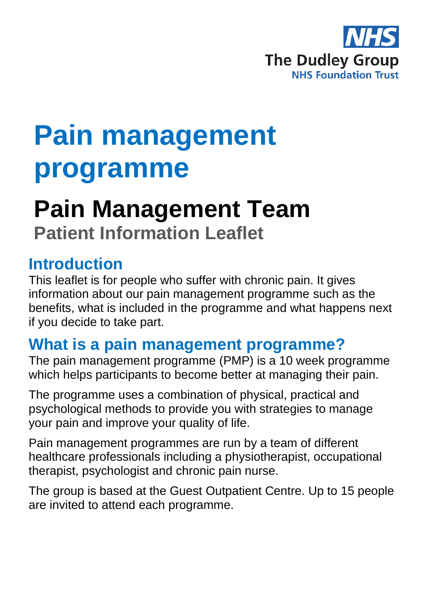

# **Pain management programme**

## **Pain Management Team Patient Information Leaflet**

#### **Introduction**

This leaflet is for people who suffer with chronic pain. It gives information about our pain management programme such as the benefits, what is included in the programme and what happens next if you decide to take part.

#### **What is a pain management programme?**

The pain management programme (PMP) is a 10 week programme which helps participants to become better at managing their pain.

The programme uses a combination of physical, practical and psychological methods to provide you with strategies to manage your pain and improve your quality of life.

Pain management programmes are run by a team of different healthcare professionals including a physiotherapist, occupational therapist, psychologist and chronic pain nurse.

The group is based at the Guest Outpatient Centre. Up to 15 people are invited to attend each programme.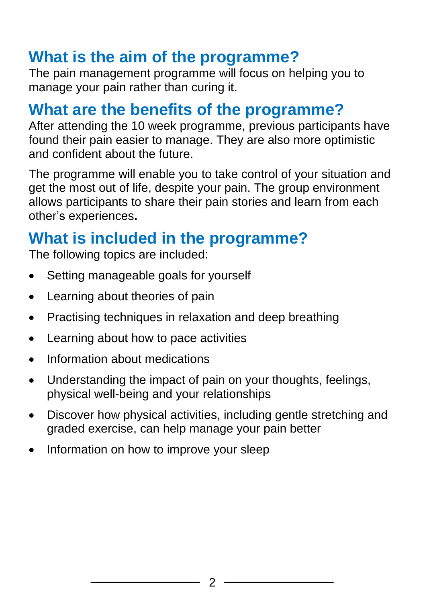## **What is the aim of the programme?**

The pain management programme will focus on helping you to manage your pain rather than curing it.

#### **What are the benefits of the programme?**

After attending the 10 week programme, previous participants have found their pain easier to manage. They are also more optimistic and confident about the future.

The programme will enable you to take control of your situation and get the most out of life, despite your pain. The group environment allows participants to share their pain stories and learn from each other's experiences**.** 

## **What is included in the programme?**

The following topics are included:

- Setting manageable goals for yourself
- Learning about theories of pain
- Practising techniques in relaxation and deep breathing
- Learning about how to pace activities
- Information about medications
- Understanding the impact of pain on your thoughts, feelings, physical well-being and your relationships
- Discover how physical activities, including gentle stretching and graded exercise, can help manage your pain better
- Information on how to improve your sleep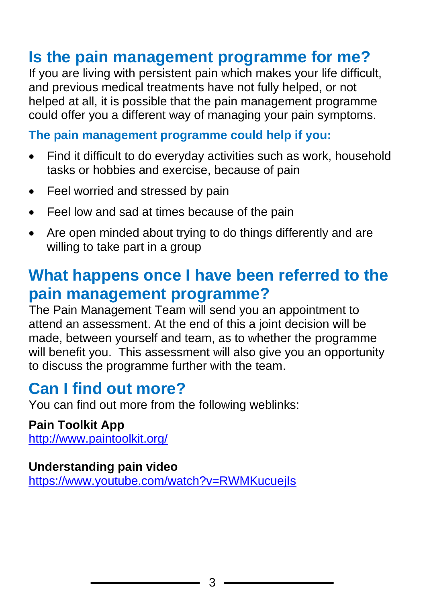## **Is the pain management programme for me?**

If you are living with persistent pain which makes your life difficult, and previous medical treatments have not fully helped, or not helped at all, it is possible that the pain management programme could offer you a different way of managing your pain symptoms.

#### **The pain management programme could help if you:**

- Find it difficult to do everyday activities such as work, household tasks or hobbies and exercise, because of pain
- Feel worried and stressed by pain
- Feel low and sad at times because of the pain
- Are open minded about trying to do things differently and are willing to take part in a group

## **What happens once I have been referred to the pain management programme?**

The Pain Management Team will send you an appointment to attend an assessment. At the end of this a joint decision will be made, between yourself and team, as to whether the programme will benefit you. This assessment will also give you an opportunity to discuss the programme further with the team.

#### **Can I find out more?**

You can find out more from the following weblinks:

**Pain Toolkit App** <http://www.paintoolkit.org/>

#### **Understanding pain video**

<https://www.youtube.com/watch?v=RWMKucuejIs>